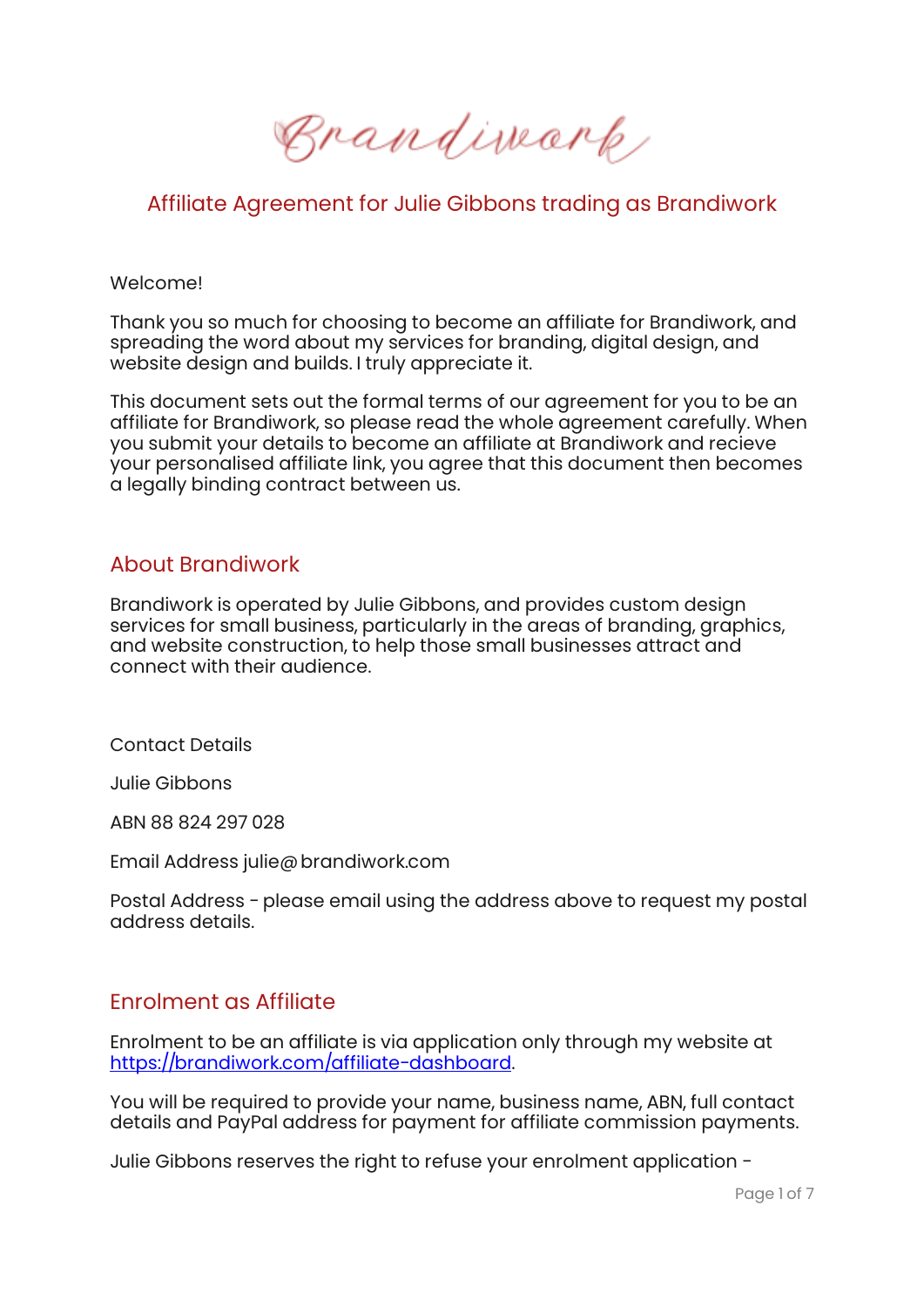Brandimark,

# Affiliate Agreement for Julie Gibbons trading as Brandiwork

#### Welcome!

Thank you so much for choosing to become an affiliate for Brandiwork, and spreading the word about my services for branding, digital design, and website design and builds. I truly appreciate it.

This document sets out the formal terms of our agreement for you to be an affiliate for Brandiwork, so please read the whole agreement carefully. When you submit your details to become an affiliate at Brandiwork and recieve your personalised affiliate link, you agree that this document then becomes a legally binding contract between us.

#### About Brandiwork

Brandiwork is operated by Julie Gibbons, and provides custom design services for small business, particularly in the areas of branding, graphics, and website construction, to help those small businesses attract and connect with their audience.

Contact Details

Julie Gibbons

ABN 88 824 297 028

Email Address julie@brandiwork.com

Postal Address - please email using the address above to request my postal address details.

#### Enrolment as Affiliate

Enrolment to be an affiliate is via application only through my website at https://brandiwork.com/affiliate-dashboard.

You will be required to provide your name, business name, ABN, full contact details and PayPal address for payment for affiliate commission payments.

Julie Gibbons reserves the right to refuse your enrolment application -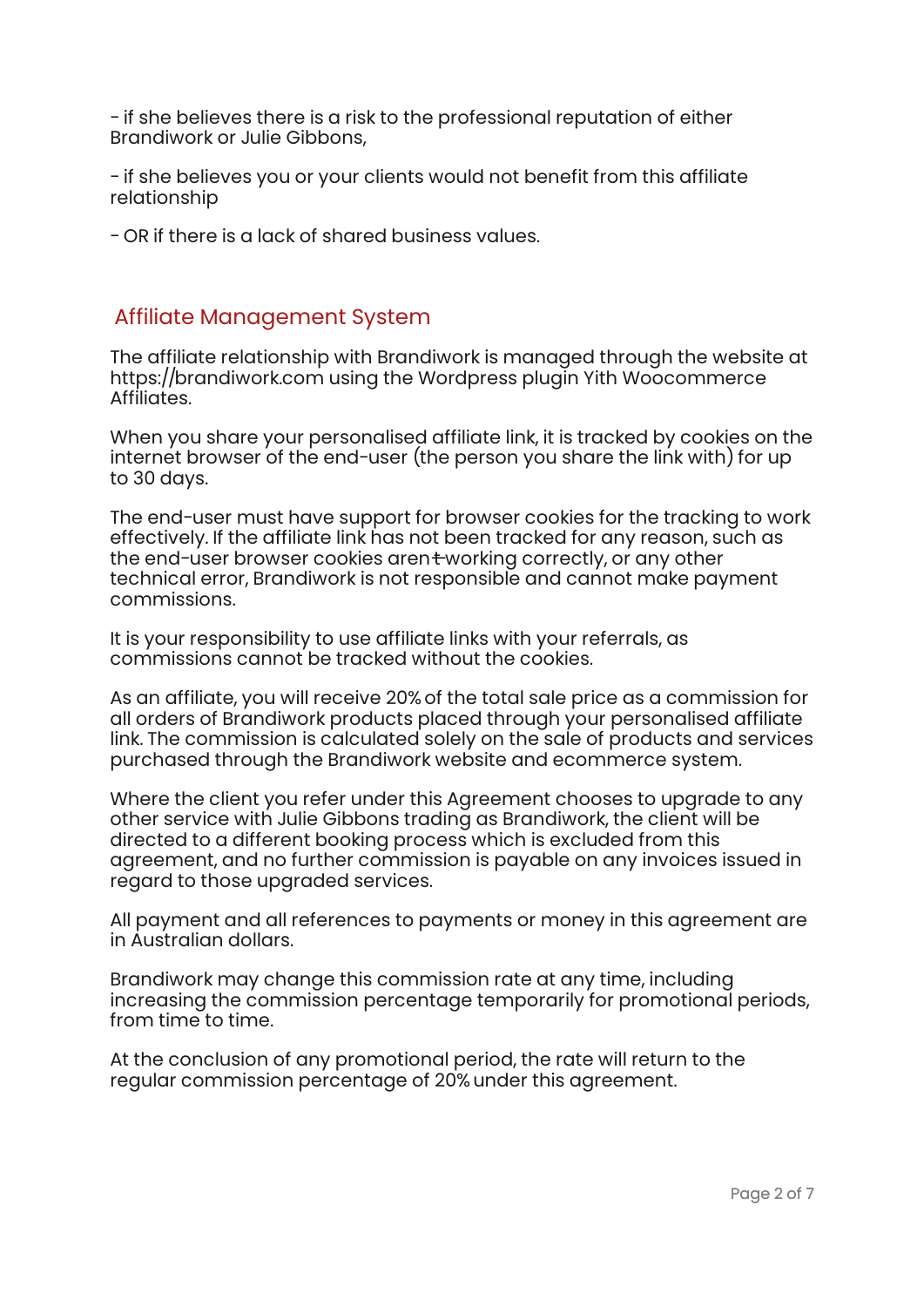- if she believes there is a risk to the professional reputation of either Brandiwork or Julie Gibbons,

- if she believes you or your clients would not benefit from this affiliate relationship

- OR if there is a lack of shared business values.

### Affiliate Management System

The affiliate relationship with Brandiwork is managed through the website at https://brandiwork.com using the Wordpress plugin Yith Woocommerce Affiliates.

When you share your personalised affiliate link, it is tracked by cookies on the internet browser of the end-user (the person you share the link with) for up to 30 days.

The end-user must have support for browser cookies for the tracking to work effectively. If the affiliate link has not been tracked for any reason, such as the end-user browser cookies arent working correctly, or any other technical error, Brandiwork is not responsible and cannot make payment commissions.

It is your responsibility to use affiliate links with your referrals, as commissions cannot be tracked without the cookies.

As an affiliate, you will receive 20% of the total sale price as a commission for all orders of Brandiwork products placed through your personalised affiliate link. The commission is calculated solely on the sale of products and services purchased through the Brandiwork website and ecommerce system.

Where the client you refer under this Agreement chooses to upgrade to any other service with Julie Gibbons trading as Brandiwork, the client will be directed to a different booking process which is excluded from this agreement, and no further commission is payable on any invoices issued in regard to those upgraded services.

All payment and all references to payments or money in this agreement are in Australian dollars.

Brandiwork may change this commission rate at any time, including increasing the commission percentage temporarily for promotional periods, from time to time.

At the conclusion of any promotional period, the rate will return to the regular commission percentage of 20% under this agreement.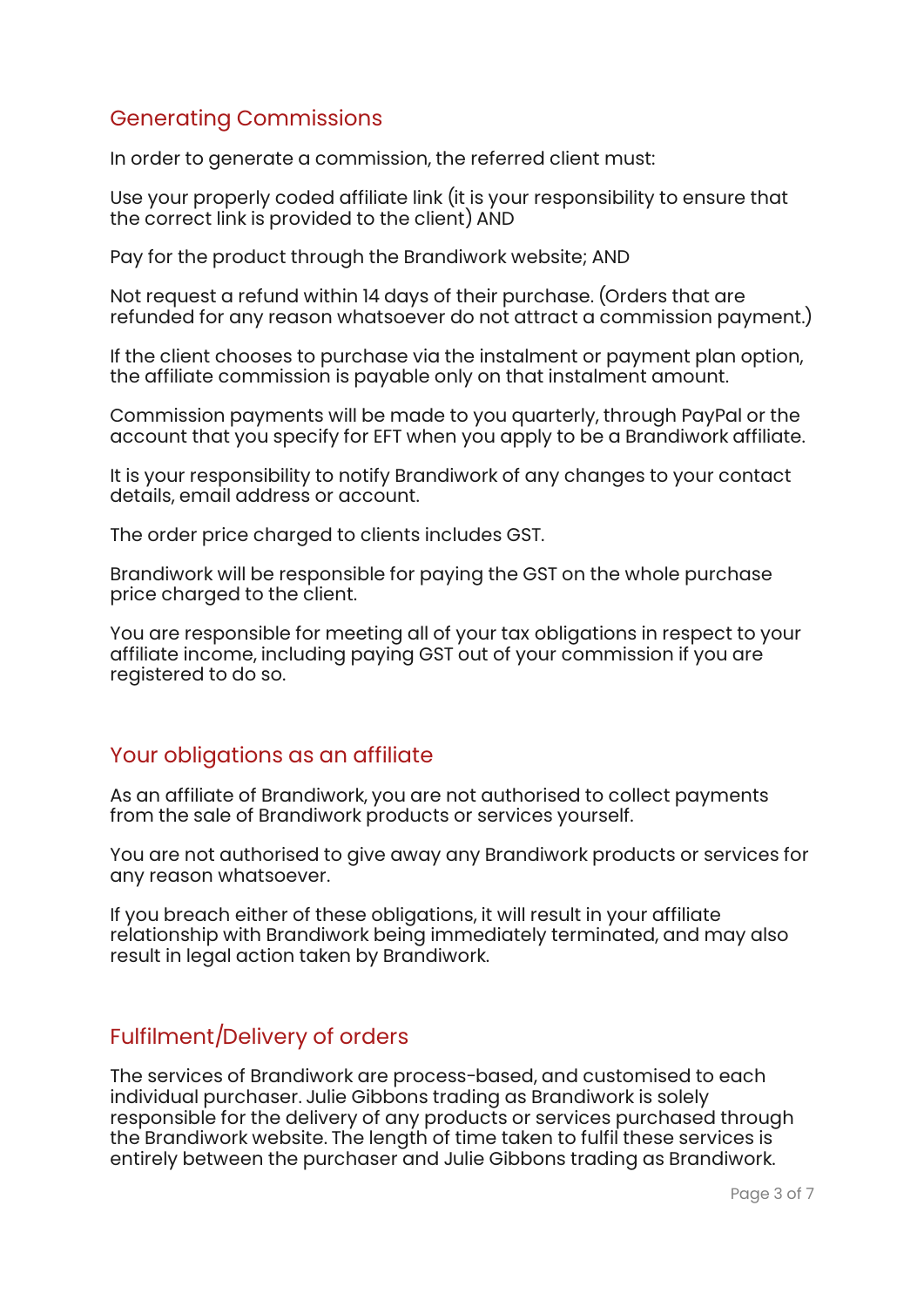## Generating Commissions

In order to generate a commission, the referred client must:

Use your properly coded affiliate link (it is your responsibility to ensure that the correct link is provided to the client) AND

Pay for the product through the Brandiwork website; AND

Not request a refund within 14 days of their purchase. (Orders that are refunded for any reason whatsoever do not attract a commission payment.)

If the client chooses to purchase via the instalment or payment plan option, the affiliate commission is payable only on that instalment amount.

Commission payments will be made to you quarterly, through PayPal or the account that you specify for EFT when you apply to be a Brandiwork affiliate.

It is your responsibility to notify Brandiwork of any changes to your contact details, email address or account.

The order price charged to clients includes GST.

Brandiwork will be responsible for paying the GST on the whole purchase price charged to the client.

You are responsible for meeting all of your tax obligations in respect to your affiliate income, including paying GST out of your commission if you are registered to do so.

## Your obligations as an affiliate

As an affiliate of Brandiwork, you are not authorised to collect payments from the sale of Brandiwork products or services yourself.

You are not authorised to give away any Brandiwork products or services for any reason whatsoever.

If you breach either of these obligations, it will result in your affiliate relationship with Brandiwork being immediately terminated, and may also result in legal action taken by Brandiwork.

## Fulfilment/Delivery of orders

The services of Brandiwork are process-based, and customised to each individual purchaser. Julie Gibbons trading as Brandiwork is solely responsible for the delivery of any products or services purchased through the Brandiwork website. The length of time taken to fulfil these services is entirely between the purchaser and Julie Gibbons trading as Brandiwork.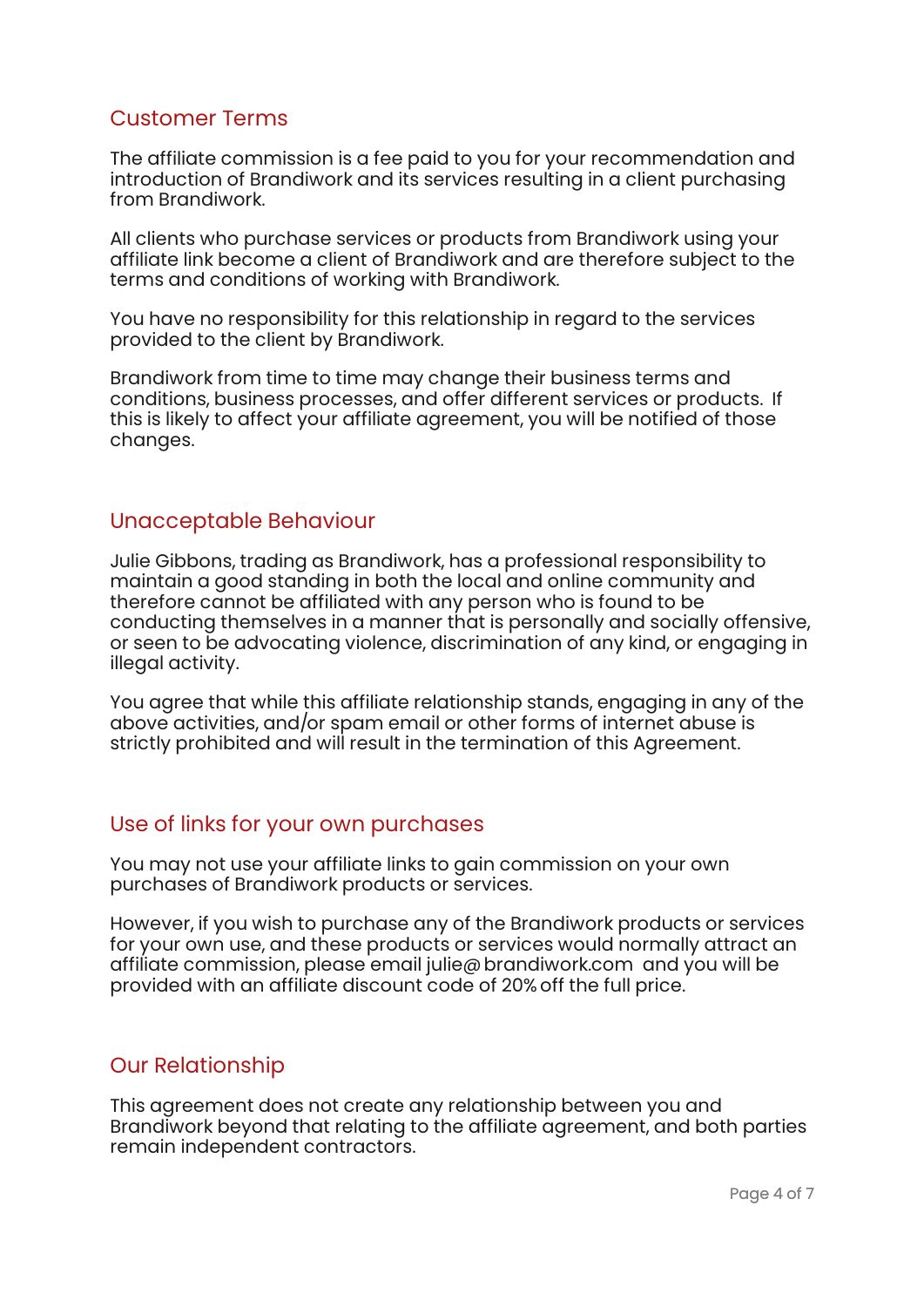## Customer Terms

The affiliate commission is a fee paid to you for your recommendation and introduction of Brandiwork and its services resulting in a client purchasing from Brandiwork.

All clients who purchase services or products from Brandiwork using your affiliate link become a client of Brandiwork and are therefore subject to the terms and conditions of working with Brandiwork.

You have no responsibility for this relationship in regard to the services provided to the client by Brandiwork.

Brandiwork from time to time may change their business terms and conditions, business processes, and offer different services or products. If this is likely to affect your affiliate agreement, you will be notified of those changes.

#### Unacceptable Behaviour

Julie Gibbons, trading as Brandiwork, has a professional responsibility to maintain a good standing in both the local and online community and therefore cannot be affiliated with any person who is found to be conducting themselves in a manner that is personally and socially offensive, or seen to be advocating violence, discrimination of any kind, or engaging in illegal activity.

You agree that while this affiliate relationship stands, engaging in any of the above activities, and/or spam email or other forms of internet abuse is strictly prohibited and will result in the termination of this Agreement.

## Use of links for your own purchases

You may not use your affiliate links to gain commission on your own purchases of Brandiwork products or services.

However, if you wish to purchase any of the Brandiwork products or services for your own use, and these products or services would normally attract an affiliate commission, please email julie@brandiwork.com and you will be provided with an affiliate discount code of 20% off the full price.

## Our Relationship

This agreement does not create any relationship between you and Brandiwork beyond that relating to the affiliate agreement, and both parties remain independent contractors.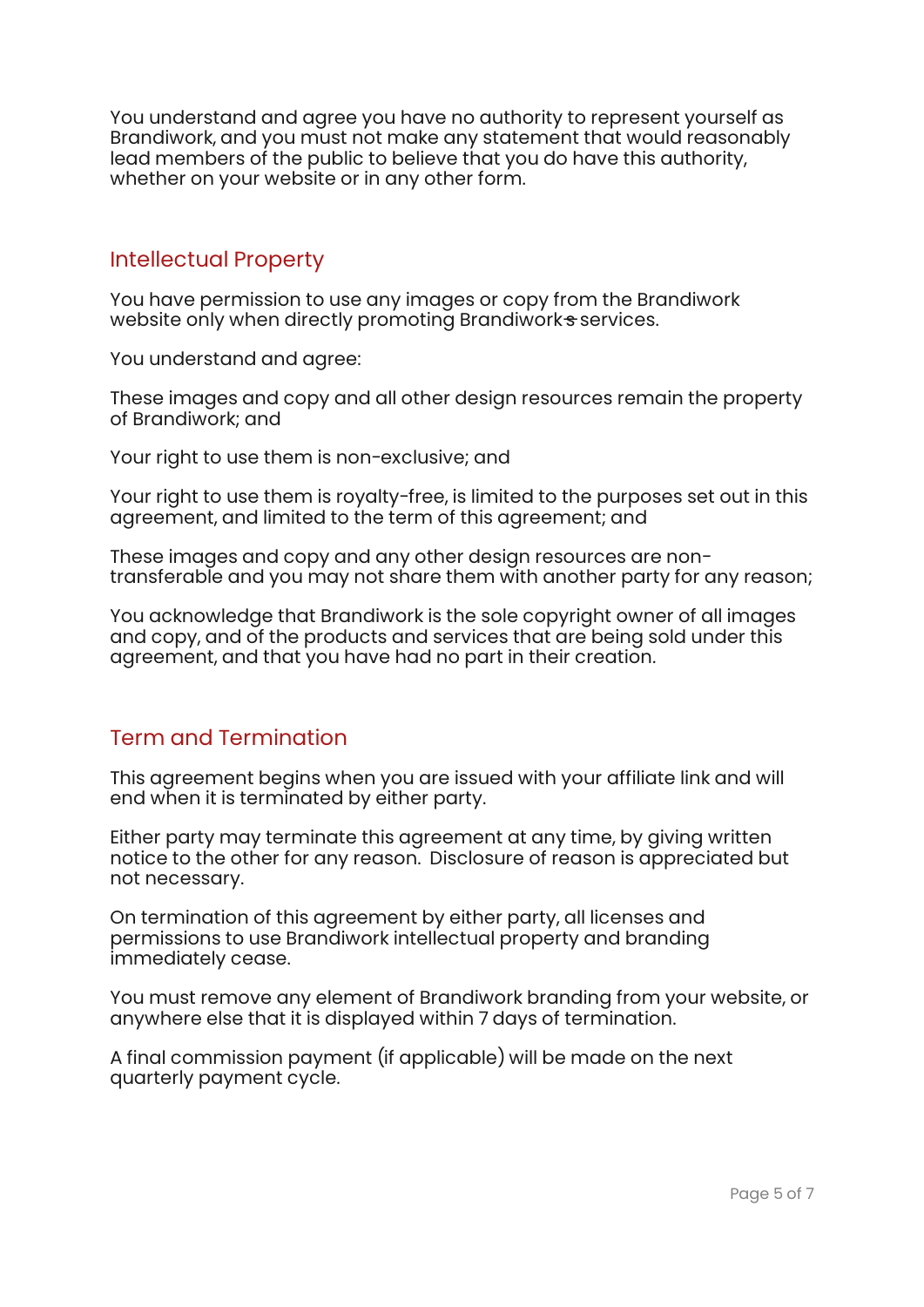You understand and agree you have no authority to represent yourself as Brandiwork, and you must not make any statement that would reasonably lead members of the public to believe that you do have this authority, whether on your website or in any other form.

## Intellectual Property

You have permission to use any images or copy from the Brandiwork website only when directly promoting Brandiwork services.

You understand and agree:

These images and copy and all other design resources remain the property of Brandiwork; and

Your right to use them is non-exclusive; and

Your right to use them is royalty-free, is limited to the purposes set out in this agreement, and limited to the term of this agreement; and

These images and copy and any other design resources are nontransferable and you may not share them with another party for any reason;

You acknowledge that Brandiwork is the sole copyright owner of all images and copy, and of the products and services that are being sold under this agreement, and that you have had no part in their creation.

## Term and Termination

This agreement begins when you are issued with your affiliate link and will end when it is terminated by either party.

Either party may terminate this agreement at any time, by giving written notice to the other for any reason. Disclosure of reason is appreciated but not necessary.

On termination of this agreement by either party, all licenses and permissions to use Brandiwork intellectual property and branding immediately cease.

You must remove any element of Brandiwork branding from your website, or anywhere else that it is displayed within 7 days of termination.

A final commission payment (if applicable) will be made on the next quarterly payment cycle.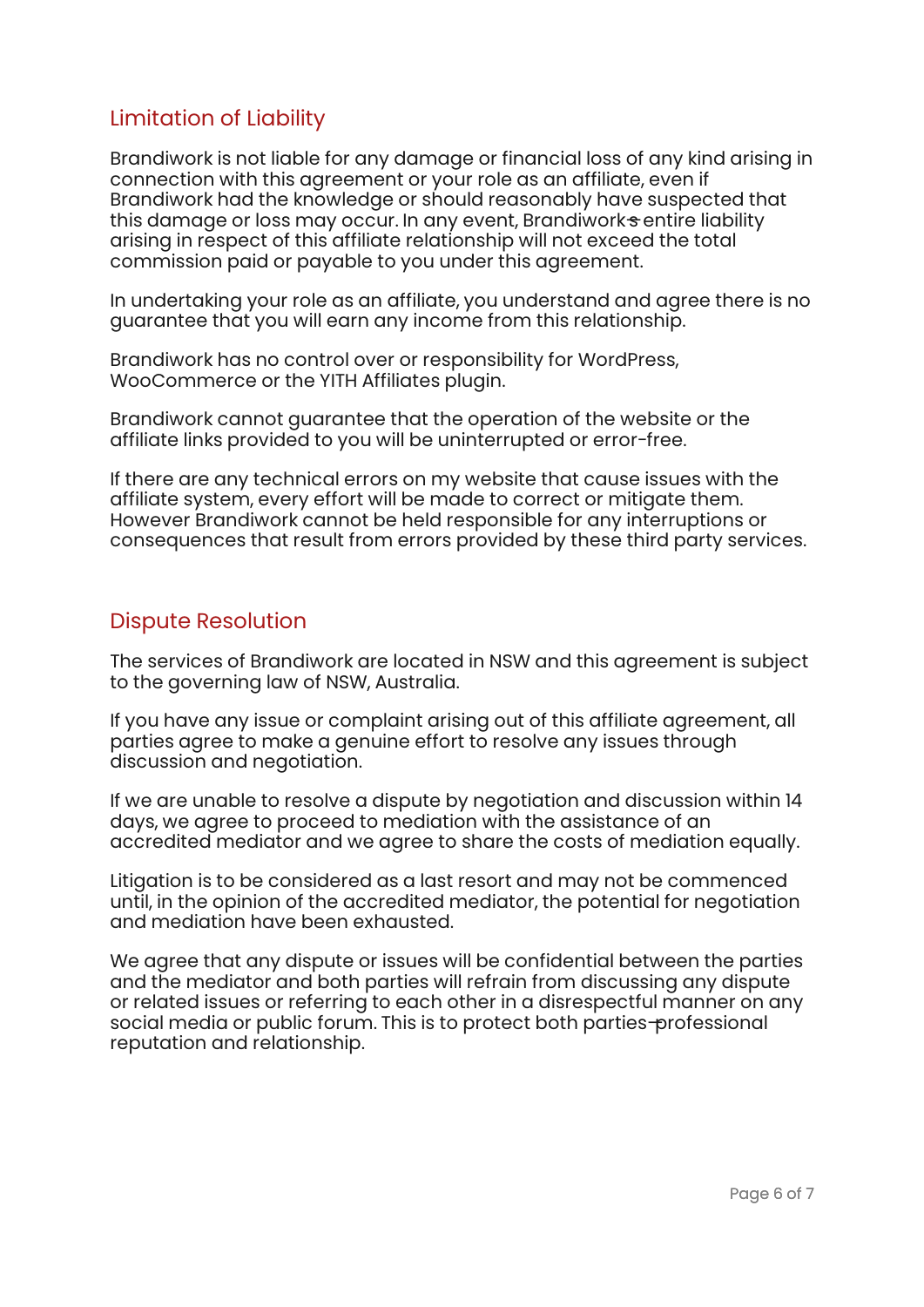# Limitation of Liability

Brandiwork is not liable for any damage or financial loss of any kind arising in connection with this agreement or your role as an affiliate, even if Brandiwork had the knowledge or should reasonably have suspected that this damage or loss may occur. In any event, Brandiwork  $\pm$  entire liability arising in respect of this affiliate relationship will not exceed the total commission paid or payable to you under this agreement.

In undertaking your role as an affiliate, you understand and agree there is no guarantee that you will earn any income from this relationship.

Brandiwork has no control over or responsibility for WordPress, WooCommerce or the YITH Affiliates plugin.

Brandiwork cannot guarantee that the operation of the website or the affiliate links provided to you will be uninterrupted or error-free.

If there are any technical errors on my website that cause issues with the affiliate system, every effort will be made to correct or mitigate them. However Brandiwork cannot be held responsible for any interruptions or consequences that result from errors provided by these third party services.

### Dispute Resolution

The services of Brandiwork are located in NSW and this agreement is subject to the governing law of NSW, Australia.

If you have any issue or complaint arising out of this affiliate agreement, all parties agree to make a genuine effort to resolve any issues through discussion and negotiation.

If we are unable to resolve a dispute by negotiation and discussion within 14 days, we agree to proceed to mediation with the assistance of an accredited mediator and we agree to share the costs of mediation equally.

Litigation is to be considered as a last resort and may not be commenced until, in the opinion of the accredited mediator, the potential for negotiation and mediation have been exhausted.

We agree that any dispute or issues will be confidential between the parties and the mediator and both parties will refrain from discussing any dispute or related issues or referring to each other in a disrespectful manner on any social media or public forum. This is to protect both parties—professional reputation and relationship.